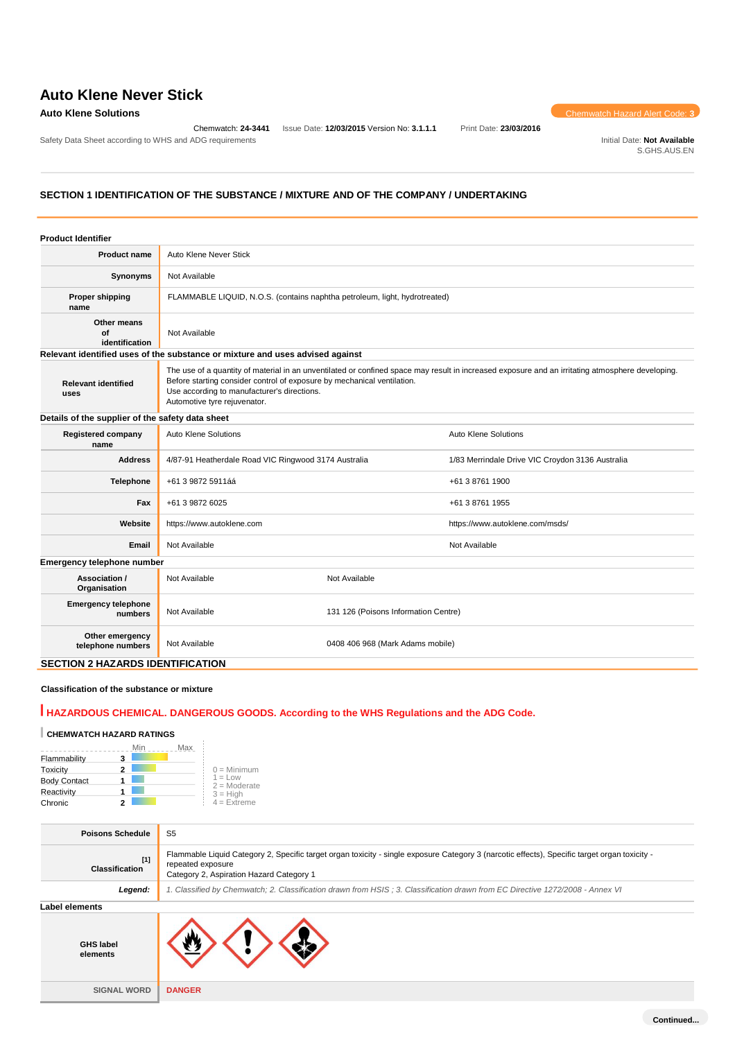Safety Data Sheet according to WHS and ADG requirements **Initial Date: Not Available** Initial Date: Not Available

Chemwatch: **24-3441** Issue Date: **12/03/2015** Version No: **3.1.1.1** Print Date: **23/03/2016**

**Auto Klene Solutions** Chemwatch Hazard Alert Code: **3** 

S.GHS.AUS.EN

# **SECTION 1 IDENTIFICATION OF THE SUBSTANCE / MIXTURE AND OF THE COMPANY / UNDERTAKING**

| <b>Product Identifier</b>                        |                                                                                                                                                                                                                                                                                                            |                                      |                                                  |  |
|--------------------------------------------------|------------------------------------------------------------------------------------------------------------------------------------------------------------------------------------------------------------------------------------------------------------------------------------------------------------|--------------------------------------|--------------------------------------------------|--|
| <b>Product name</b>                              | Auto Klene Never Stick                                                                                                                                                                                                                                                                                     |                                      |                                                  |  |
| Synonyms                                         | Not Available                                                                                                                                                                                                                                                                                              |                                      |                                                  |  |
| <b>Proper shipping</b><br>name                   | FLAMMABLE LIQUID, N.O.S. (contains naphtha petroleum, light, hydrotreated)                                                                                                                                                                                                                                 |                                      |                                                  |  |
| Other means<br>Οf<br>identification              | Not Available                                                                                                                                                                                                                                                                                              |                                      |                                                  |  |
|                                                  | Relevant identified uses of the substance or mixture and uses advised against                                                                                                                                                                                                                              |                                      |                                                  |  |
| <b>Relevant identified</b><br>uses               | The use of a quantity of material in an unventilated or confined space may result in increased exposure and an irritating atmosphere developing.<br>Before starting consider control of exposure by mechanical ventilation.<br>Use according to manufacturer's directions.<br>Automotive tyre rejuvenator. |                                      |                                                  |  |
| Details of the supplier of the safety data sheet |                                                                                                                                                                                                                                                                                                            |                                      |                                                  |  |
| <b>Registered company</b><br>name                | Auto Klene Solutions                                                                                                                                                                                                                                                                                       | Auto Klene Solutions                 |                                                  |  |
| <b>Address</b>                                   | 4/87-91 Heatherdale Road VIC Ringwood 3174 Australia                                                                                                                                                                                                                                                       |                                      | 1/83 Merrindale Drive VIC Croydon 3136 Australia |  |
| <b>Telephone</b>                                 | +61 3 9872 5911áá                                                                                                                                                                                                                                                                                          |                                      | +61 3 8761 1900                                  |  |
| Fax                                              | +61 3 9872 6025                                                                                                                                                                                                                                                                                            |                                      | +61 3 8761 1955                                  |  |
| Website                                          | https://www.autoklene.com                                                                                                                                                                                                                                                                                  |                                      | https://www.autoklene.com/msds/                  |  |
| Email                                            | Not Available                                                                                                                                                                                                                                                                                              | Not Available                        |                                                  |  |
| Emergency telephone number                       |                                                                                                                                                                                                                                                                                                            |                                      |                                                  |  |
| Association /<br>Organisation                    | Not Available                                                                                                                                                                                                                                                                                              | Not Available                        |                                                  |  |
| <b>Emergency telephone</b><br>numbers            | Not Available                                                                                                                                                                                                                                                                                              | 131 126 (Poisons Information Centre) |                                                  |  |
| Other emergency<br>telephone numbers             | Not Available                                                                                                                                                                                                                                                                                              | 0408 406 968 (Mark Adams mobile)     |                                                  |  |
| <b>SECTION 2 HAZARDS IDENTIFICATION</b>          |                                                                                                                                                                                                                                                                                                            |                                      |                                                  |  |

## **Classification of the substance or mixture**

# **HAZARDOUS CHEMICAL. DANGEROUS GOODS. According to the WHS Regulations and the ADG Code.**

# **CHEMWATCH HAZARD RATINGS**

|                     |   | Min | Max |                             |
|---------------------|---|-----|-----|-----------------------------|
| Flammability        |   |     |     |                             |
| Toxicity            | 2 |     |     | $0 =$ Minimum               |
| <b>Body Contact</b> |   |     |     | $1 = Low$<br>$2 =$ Moderate |
| Reactivity          |   |     |     | $3 = High$                  |
| Chronic             |   |     |     | $4 =$ Extreme               |

| <b>Poisons Schedule</b>        | S <sub>5</sub>                                                                                                                                                                                                 |
|--------------------------------|----------------------------------------------------------------------------------------------------------------------------------------------------------------------------------------------------------------|
| $[1]$<br><b>Classification</b> | Flammable Liquid Category 2, Specific target organ toxicity - single exposure Category 3 (narcotic effects), Specific target organ toxicity -<br>repeated exposure<br>Category 2, Aspiration Hazard Category 1 |
| Legend:                        | 1. Classified by Chemwatch; 2. Classification drawn from HSIS ; 3. Classification drawn from EC Directive 1272/2008 - Annex VI                                                                                 |
| Label elements                 |                                                                                                                                                                                                                |
| <b>GHS label</b><br>elements   |                                                                                                                                                                                                                |
| <b>SIGNAL WORD</b>             | <b>DANGER</b>                                                                                                                                                                                                  |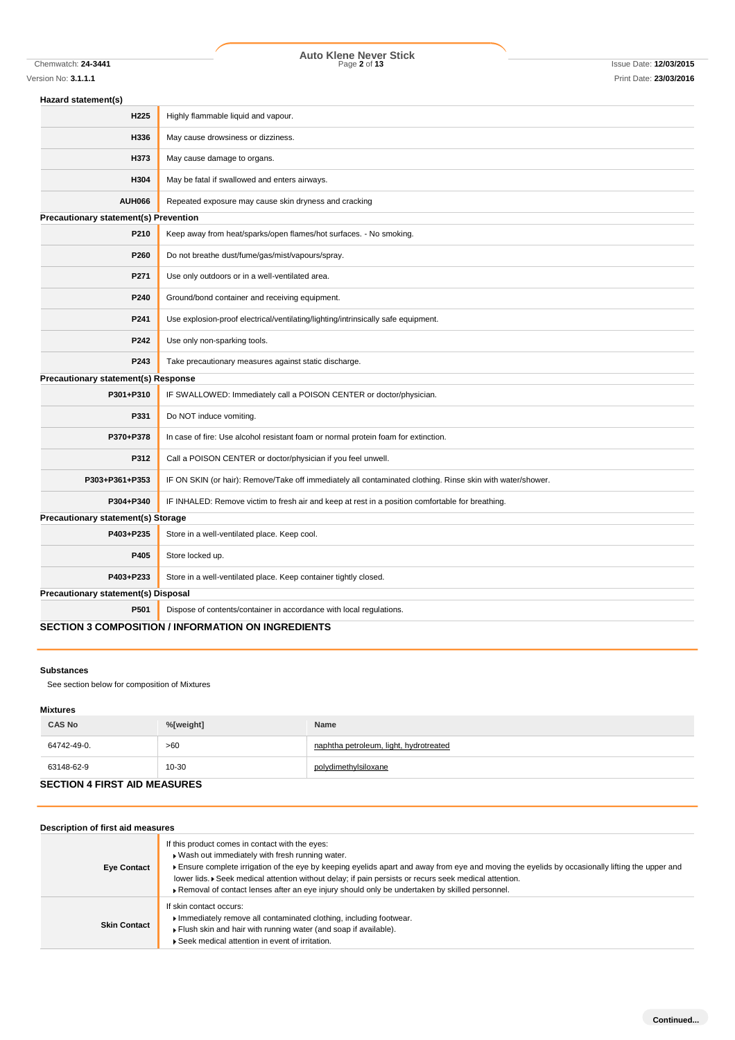Chemwatch: **24-3441** Page **2** of **13** Issue Date: **12/03/2015 Auto Klene Never Stick**

| Hazard statement(s)                          |                                                                                                            |  |  |
|----------------------------------------------|------------------------------------------------------------------------------------------------------------|--|--|
| H225                                         | Highly flammable liquid and vapour.                                                                        |  |  |
| H336                                         | May cause drowsiness or dizziness.                                                                         |  |  |
| H373                                         | May cause damage to organs.                                                                                |  |  |
| H304                                         | May be fatal if swallowed and enters airways.                                                              |  |  |
| <b>AUH066</b>                                | Repeated exposure may cause skin dryness and cracking                                                      |  |  |
| <b>Precautionary statement(s) Prevention</b> |                                                                                                            |  |  |
| P210                                         | Keep away from heat/sparks/open flames/hot surfaces. - No smoking.                                         |  |  |
| P260                                         | Do not breathe dust/fume/gas/mist/vapours/spray.                                                           |  |  |
| P271                                         | Use only outdoors or in a well-ventilated area.                                                            |  |  |
| P240                                         | Ground/bond container and receiving equipment.                                                             |  |  |
| P241                                         | Use explosion-proof electrical/ventilating/lighting/intrinsically safe equipment.                          |  |  |
| P242                                         | Use only non-sparking tools.                                                                               |  |  |
| P243                                         | Take precautionary measures against static discharge.                                                      |  |  |
| Precautionary statement(s) Response          |                                                                                                            |  |  |
| P301+P310                                    | IF SWALLOWED: Immediately call a POISON CENTER or doctor/physician.                                        |  |  |
| P331                                         | Do NOT induce vomiting.                                                                                    |  |  |
| P370+P378                                    | In case of fire: Use alcohol resistant foam or normal protein foam for extinction.                         |  |  |
| P312                                         | Call a POISON CENTER or doctor/physician if you feel unwell.                                               |  |  |
| P303+P361+P353                               | IF ON SKIN (or hair): Remove/Take off immediately all contaminated clothing. Rinse skin with water/shower. |  |  |
| P304+P340                                    | IF INHALED: Remove victim to fresh air and keep at rest in a position comfortable for breathing.           |  |  |
| Precautionary statement(s) Storage           |                                                                                                            |  |  |
| P403+P235                                    | Store in a well-ventilated place. Keep cool.                                                               |  |  |
| P405                                         | Store locked up.                                                                                           |  |  |
| P403+P233                                    | Store in a well-ventilated place. Keep container tightly closed.                                           |  |  |
| Precautionary statement(s) Disposal          |                                                                                                            |  |  |
| P501                                         | Dispose of contents/container in accordance with local regulations.                                        |  |  |
|                                              | <b>SECTION 3 COMPOSITION / INFORMATION ON INGREDIENTS</b>                                                  |  |  |

# **Substances**

See section below for composition of Mixtures

### **Mixtures**

| <b>CAS No</b>                       | %[weight] | <b>Name</b>                            |  |  |
|-------------------------------------|-----------|----------------------------------------|--|--|
| 64742-49-0.                         | >60       | naphtha petroleum, light, hydrotreated |  |  |
| 63148-62-9                          | $10 - 30$ | polydimethylsiloxane                   |  |  |
| <b>SECTION 4 FIRST AID MEASURES</b> |           |                                        |  |  |

| Description of first aid measures |                                                                                                                                                                                                                                                                                                                                                                                                                                                                   |
|-----------------------------------|-------------------------------------------------------------------------------------------------------------------------------------------------------------------------------------------------------------------------------------------------------------------------------------------------------------------------------------------------------------------------------------------------------------------------------------------------------------------|
| <b>Eye Contact</b>                | If this product comes in contact with the eyes:<br>. Wash out immediately with fresh running water.<br>Ensure complete irrigation of the eye by keeping eyelids apart and away from eye and moving the eyelids by occasionally lifting the upper and<br>lower lids. ▶ Seek medical attention without delay; if pain persists or recurs seek medical attention.<br>▶ Removal of contact lenses after an eye injury should only be undertaken by skilled personnel. |
| <b>Skin Contact</b>               | If skin contact occurs:<br>Immediately remove all contaminated clothing, including footwear.<br>Flush skin and hair with running water (and soap if available).<br>▶ Seek medical attention in event of irritation.                                                                                                                                                                                                                                               |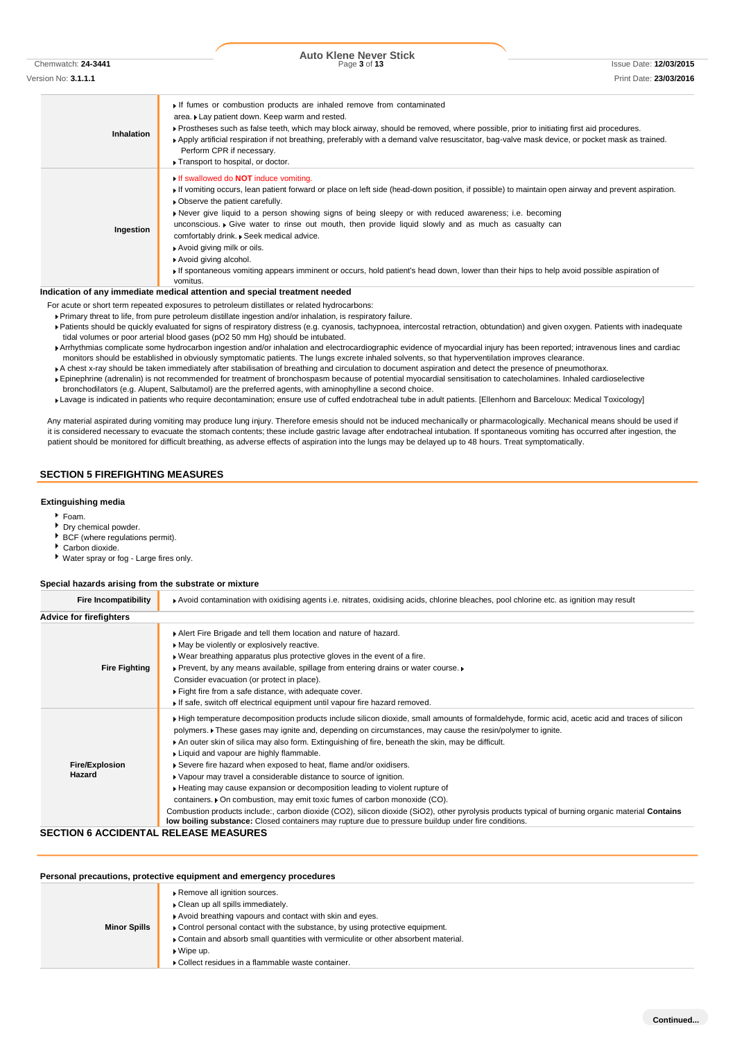Chemwatch: **24-3441** Page **3** of **13** Issue Date: **12/03/2015**

| Version No: <b>3.1.1.1</b> | Print Date: 23/03/2016 |
|----------------------------|------------------------|
|                            |                        |
|                            |                        |

**Inhalation** If fumes or combustion products are inhaled remove from contaminated area. Lay patient down. Keep warm and rested. Prostheses such as false teeth, which may block airway, should be removed, where possible, prior to initiating first aid procedures. Apply artificial respiration if not breathing, preferably with a demand valve resuscitator, bag-valve mask device, or pocket mask as trained. Perform CPR if necessary. **Transport to hospital, or doctor. Ingestion** If swallowed do **NOT** induce vomiting. If vomiting occurs, lean patient forward or place on left side (head-down position, if possible) to maintain open airway and prevent aspiration.  $\blacktriangleright$  Observe the patient carefully. Never give liquid to a person showing signs of being sleepy or with reduced awareness; i.e. becoming unconscious. Give water to rinse out mouth, then provide liquid slowly and as much as casualty can comfortably drink. Seek medical advice. Avoid giving milk or oils. Avoid giving alcohol. If spontaneous vomiting appears imminent or occurs, hold patient's head down, lower than their hips to help avoid possible aspiration of vomitus.

#### **Indication of any immediate medical attention and special treatment needed**

For acute or short term repeated exposures to petroleum distillates or related hydrocarbons:

Primary threat to life, from pure petroleum distillate ingestion and/or inhalation, is respiratory failure.

- Patients should be quickly evaluated for signs of respiratory distress (e.g. cyanosis, tachypnoea, intercostal retraction, obtundation) and given oxygen. Patients with inadequate tidal volumes or poor arterial blood gases (pO2 50 mm Hg) should be intubated.
- Arrhythmias complicate some hydrocarbon ingestion and/or inhalation and electrocardiographic evidence of myocardial injury has been reported; intravenous lines and cardiac monitors should be established in obviously symptomatic patients. The lungs excrete inhaled solvents, so that hyperventilation improves clearance.
- A chest x-ray should be taken immediately after stabilisation of breathing and circulation to document aspiration and detect the presence of pneumothorax.
- Epinephrine (adrenalin) is not recommended for treatment of bronchospasm because of potential myocardial sensitisation to catecholamines. Inhaled cardioselective bronchodilators (e.g. Alupent, Salbutamol) are the preferred agents, with aminophylline a second choice.
- Lavage is indicated in patients who require decontamination; ensure use of cuffed endotracheal tube in adult patients. [Ellenhorn and Barceloux: Medical Toxicology]

Any material aspirated during vomiting may produce lung injury. Therefore emesis should not be induced mechanically or pharmacologically. Mechanical means should be used if it is considered necessary to evacuate the stomach contents; these include gastric lavage after endotracheal intubation. If spontaneous vomiting has occurred after ingestion, the patient should be monitored for difficult breathing, as adverse effects of aspiration into the lungs may be delayed up to 48 hours. Treat symptomatically.

### **SECTION 5 FIREFIGHTING MEASURES**

#### **Extinguishing media**

- Foam.
- Dry chemical powder.
- BCF (where regulations permit).
- Carbon dioxide.
- Water spray or fog Large fires only.

### **Special hazards arising from the substrate or mixture**

| <b>Fire Incompatibility</b>     | ▶ Avoid contamination with oxidising agents i.e. nitrates, oxidising acids, chlorine bleaches, pool chlorine etc. as ignition may result                                                                                                                                                                                                                                                                                                                                                                                                                                                                                                                                                                                                                                                                                                                                                                                                                                          |
|---------------------------------|-----------------------------------------------------------------------------------------------------------------------------------------------------------------------------------------------------------------------------------------------------------------------------------------------------------------------------------------------------------------------------------------------------------------------------------------------------------------------------------------------------------------------------------------------------------------------------------------------------------------------------------------------------------------------------------------------------------------------------------------------------------------------------------------------------------------------------------------------------------------------------------------------------------------------------------------------------------------------------------|
| <b>Advice for firefighters</b>  |                                                                                                                                                                                                                                                                                                                                                                                                                                                                                                                                                                                                                                                                                                                                                                                                                                                                                                                                                                                   |
| <b>Fire Fighting</b>            | Alert Fire Brigade and tell them location and nature of hazard.<br>May be violently or explosively reactive.<br>▶ Wear breathing apparatus plus protective gloves in the event of a fire.<br>▶ Prevent, by any means available, spillage from entering drains or water course. ▶<br>Consider evacuation (or protect in place).<br>Fight fire from a safe distance, with adequate cover.<br>If safe, switch off electrical equipment until vapour fire hazard removed.                                                                                                                                                                                                                                                                                                                                                                                                                                                                                                             |
| <b>Fire/Explosion</b><br>Hazard | If High temperature decomposition products include silicon dioxide, small amounts of formaldehyde, formic acid, acetic acid and traces of silicon<br>polymers. These gases may ignite and, depending on circumstances, may cause the resin/polymer to ignite.<br>An outer skin of silica may also form. Extinguishing of fire, beneath the skin, may be difficult.<br>Liquid and vapour are highly flammable.<br>Severe fire hazard when exposed to heat, flame and/or oxidisers.<br>• Vapour may travel a considerable distance to source of ignition.<br>► Heating may cause expansion or decomposition leading to violent rupture of<br>containers. • On combustion, may emit toxic fumes of carbon monoxide (CO).<br>Combustion products include:, carbon dioxide (CO2), silicon dioxide (SiO2), other pyrolysis products typical of burning organic material Contains<br>low boiling substance: Closed containers may rupture due to pressure buildup under fire conditions. |

## **SECTION 6 ACCIDENTAL RELEASE MEASURES**

| Personal precautions, protective equipment and emergency procedures |                                                                                                                                                                                                                                                                                                                                                                               |  |  |
|---------------------------------------------------------------------|-------------------------------------------------------------------------------------------------------------------------------------------------------------------------------------------------------------------------------------------------------------------------------------------------------------------------------------------------------------------------------|--|--|
| <b>Minor Spills</b>                                                 | Remove all ignition sources.<br>Clean up all spills immediately.<br>Avoid breathing vapours and contact with skin and eyes.<br>Control personal contact with the substance, by using protective equipment.<br>▶ Contain and absorb small quantities with vermiculite or other absorbent material.<br>$\bullet$ Wipe up.<br>▶ Collect residues in a flammable waste container. |  |  |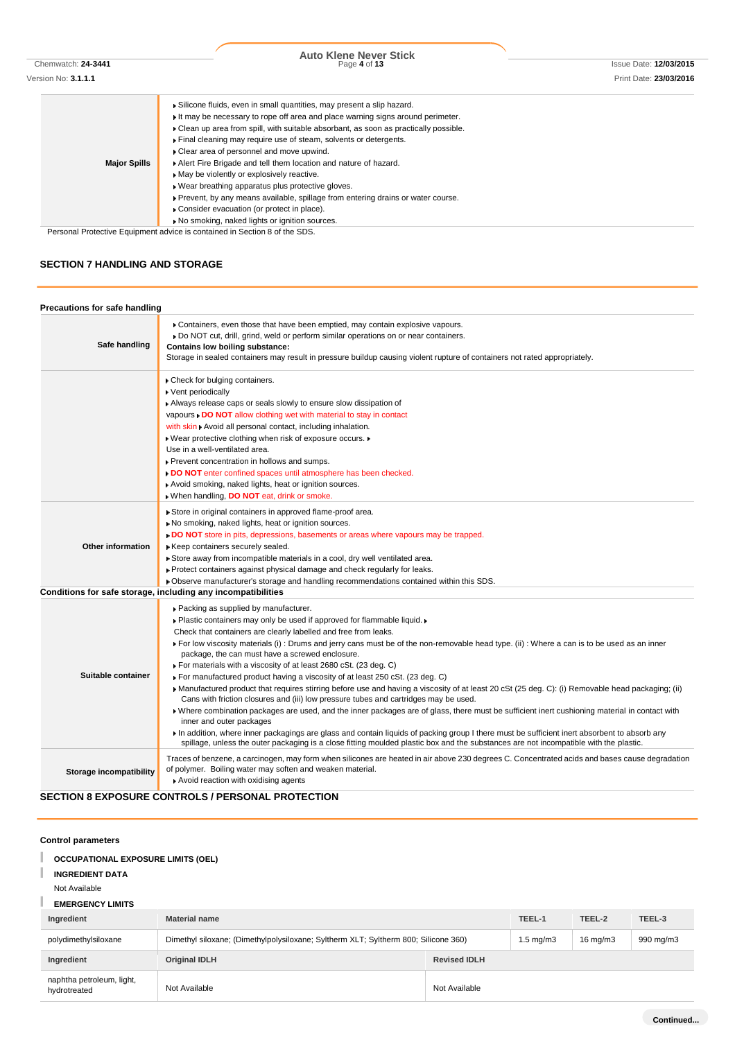Chemwatch: **24-3441** Page **4** of **13** Issue Date: **12/03/2015 Auto Klene Never Stick**

|                     | Silicone fluids, even in small quantities, may present a slip hazard.                 |
|---------------------|---------------------------------------------------------------------------------------|
|                     | It may be necessary to rope off area and place warning signs around perimeter.        |
|                     | • Clean up area from spill, with suitable absorbant, as soon as practically possible. |
|                     | Final cleaning may require use of steam, solvents or detergents.                      |
|                     | ▶ Clear area of personnel and move upwind.                                            |
| <b>Major Spills</b> | Alert Fire Brigade and tell them location and nature of hazard.                       |
|                     | May be violently or explosively reactive.                                             |
|                     | • Wear breathing apparatus plus protective gloves.                                    |
|                     | ▶ Prevent, by any means available, spillage from entering drains or water course.     |
|                     | ▶ Consider evacuation (or protect in place).                                          |
|                     |                                                                                       |

Personal Protective Equipment advice is contained in Section 8 of the SDS.

No smoking, naked lights or ignition sources.

# **SECTION 7 HANDLING AND STORAGE**

| Precautions for safe handling |                                                                                                                                                                                                                                                                                                                                                                                                                                                                                                                                                                                                                                                                                                                                                                                                                                                                                                                                                                                                                                                                                                                                                                                                                                                            |
|-------------------------------|------------------------------------------------------------------------------------------------------------------------------------------------------------------------------------------------------------------------------------------------------------------------------------------------------------------------------------------------------------------------------------------------------------------------------------------------------------------------------------------------------------------------------------------------------------------------------------------------------------------------------------------------------------------------------------------------------------------------------------------------------------------------------------------------------------------------------------------------------------------------------------------------------------------------------------------------------------------------------------------------------------------------------------------------------------------------------------------------------------------------------------------------------------------------------------------------------------------------------------------------------------|
| Safe handling                 | ▶ Containers, even those that have been emptied, may contain explosive vapours.<br>▶ Do NOT cut, drill, grind, weld or perform similar operations on or near containers.<br><b>Contains low boiling substance:</b><br>Storage in sealed containers may result in pressure buildup causing violent rupture of containers not rated appropriately.                                                                                                                                                                                                                                                                                                                                                                                                                                                                                                                                                                                                                                                                                                                                                                                                                                                                                                           |
|                               | Check for bulging containers.<br>▶ Vent periodically<br>Always release caps or seals slowly to ensure slow dissipation of<br>vapours . DO NOT allow clothing wet with material to stay in contact<br>with skin Avoid all personal contact, including inhalation.<br>. Wear protective clothing when risk of exposure occurs.<br>Use in a well-ventilated area.<br>Prevent concentration in hollows and sumps.<br>DO NOT enter confined spaces until atmosphere has been checked.<br>Avoid smoking, naked lights, heat or ignition sources.<br>When handling, <b>DO NOT</b> eat, drink or smoke.                                                                                                                                                                                                                                                                                                                                                                                                                                                                                                                                                                                                                                                            |
| <b>Other information</b>      | Store in original containers in approved flame-proof area.<br>No smoking, naked lights, heat or ignition sources.<br>DO NOT store in pits, depressions, basements or areas where vapours may be trapped.<br>Keep containers securely sealed.<br>Store away from incompatible materials in a cool, dry well ventilated area.<br>► Protect containers against physical damage and check regularly for leaks.<br>▶ Observe manufacturer's storage and handling recommendations contained within this SDS.                                                                                                                                                                                                                                                                                                                                                                                                                                                                                                                                                                                                                                                                                                                                                     |
|                               | Conditions for safe storage, including any incompatibilities                                                                                                                                                                                                                                                                                                                                                                                                                                                                                                                                                                                                                                                                                                                                                                                                                                                                                                                                                                                                                                                                                                                                                                                               |
| Suitable container            | ▶ Packing as supplied by manufacturer.<br>. Plastic containers may only be used if approved for flammable liquid.<br>Check that containers are clearly labelled and free from leaks.<br>For low viscosity materials (i): Drums and jerry cans must be of the non-removable head type. (ii): Where a can is to be used as an inner<br>package, the can must have a screwed enclosure.<br>► For materials with a viscosity of at least 2680 cSt. (23 deg. C)<br>For manufactured product having a viscosity of at least 250 cSt. (23 deg. C)<br>Manufactured product that requires stirring before use and having a viscosity of at least 20 cSt (25 deg. C): (i) Removable head packaging; (ii)<br>Cans with friction closures and (iii) low pressure tubes and cartridges may be used.<br>Where combination packages are used, and the inner packages are of glass, there must be sufficient inert cushioning material in contact with<br>inner and outer packages<br>In addition, where inner packagings are glass and contain liquids of packing group I there must be sufficient inert absorbent to absorb any<br>spillage, unless the outer packaging is a close fitting moulded plastic box and the substances are not incompatible with the plastic. |
| Storage incompatibility       | Traces of benzene, a carcinogen, may form when silicones are heated in air above 230 degrees C. Concentrated acids and bases cause degradation<br>of polymer. Boiling water may soften and weaken material.<br>Avoid reaction with oxidising agents                                                                                                                                                                                                                                                                                                                                                                                                                                                                                                                                                                                                                                                                                                                                                                                                                                                                                                                                                                                                        |
|                               | <b>SECTION 8 EXPOSURE CONTROLS / PERSONAL PROTECTION</b>                                                                                                                                                                                                                                                                                                                                                                                                                                                                                                                                                                                                                                                                                                                                                                                                                                                                                                                                                                                                                                                                                                                                                                                                   |

## **Control parameters**

#### T **OCCUPATIONAL EXPOSURE LIMITS (OEL)**

#### I **INGREDIENT DATA**

Not Available

# **EMERGENCY LIMITS**

| Ingredient                                | <b>Material name</b>                                                                |                     | TEEL-1               | TEEL-2            | TEEL-3    |
|-------------------------------------------|-------------------------------------------------------------------------------------|---------------------|----------------------|-------------------|-----------|
| polydimethylsiloxane                      | Dimethyl siloxane; (Dimethylpolysiloxane; Syltherm XLT; Syltherm 800; Silicone 360) |                     | $1.5 \text{ mg/m}$ 3 | $16 \text{ mg/m}$ | 990 mg/m3 |
| Ingredient                                | <b>Original IDLH</b>                                                                | <b>Revised IDLH</b> |                      |                   |           |
| naphtha petroleum, light,<br>hydrotreated | Not Available                                                                       | Not Available       |                      |                   |           |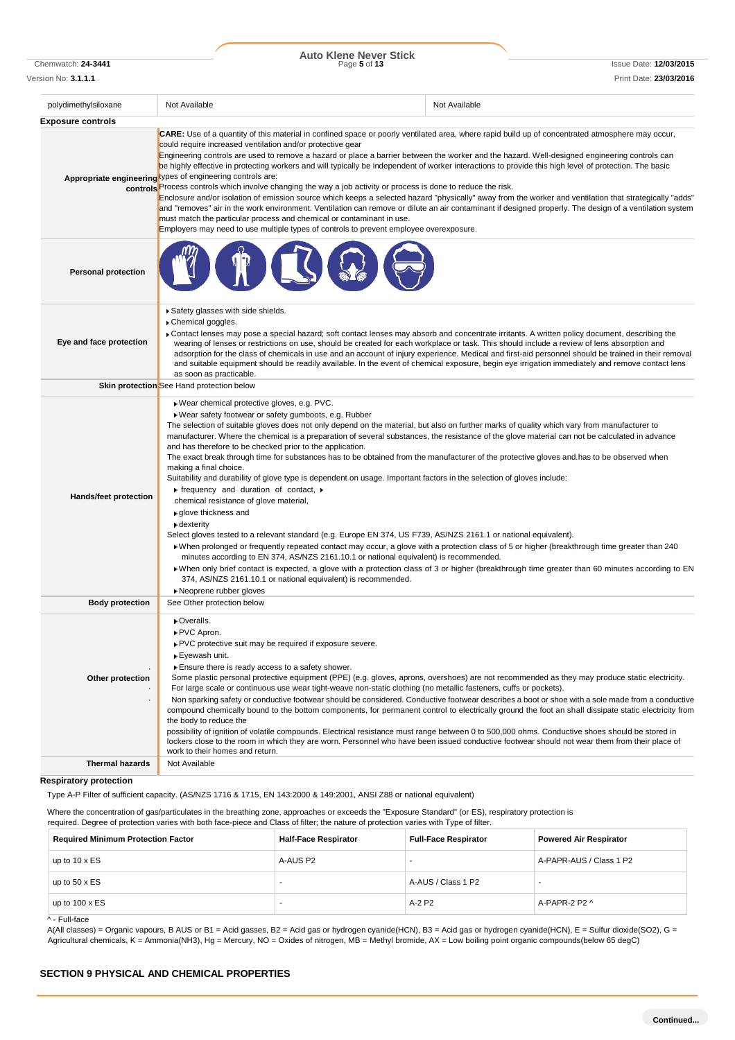Chemwatch: **24-3441** Page **5** of **13** Issue Date: **12/03/2015 Auto Klene Never Stick**

| Version No: <b>3.1.1.1</b> |                                                                                                                                                                                                                                                                                                                                                                                                                                                                                                                                                                                                                                                                                                                                                                                                                                                                                                                                                                                                                                                                                                                                                                                                                                    | Print Date: 23/03/2016                                                                                                                                                                                                                                                                                                                                                                                                                                    |
|----------------------------|------------------------------------------------------------------------------------------------------------------------------------------------------------------------------------------------------------------------------------------------------------------------------------------------------------------------------------------------------------------------------------------------------------------------------------------------------------------------------------------------------------------------------------------------------------------------------------------------------------------------------------------------------------------------------------------------------------------------------------------------------------------------------------------------------------------------------------------------------------------------------------------------------------------------------------------------------------------------------------------------------------------------------------------------------------------------------------------------------------------------------------------------------------------------------------------------------------------------------------|-----------------------------------------------------------------------------------------------------------------------------------------------------------------------------------------------------------------------------------------------------------------------------------------------------------------------------------------------------------------------------------------------------------------------------------------------------------|
| polydimethylsiloxane       | Not Available                                                                                                                                                                                                                                                                                                                                                                                                                                                                                                                                                                                                                                                                                                                                                                                                                                                                                                                                                                                                                                                                                                                                                                                                                      | Not Available                                                                                                                                                                                                                                                                                                                                                                                                                                             |
| <b>Exposure controls</b>   |                                                                                                                                                                                                                                                                                                                                                                                                                                                                                                                                                                                                                                                                                                                                                                                                                                                                                                                                                                                                                                                                                                                                                                                                                                    |                                                                                                                                                                                                                                                                                                                                                                                                                                                           |
|                            | <b>CARE:</b> Use of a quantity of this material in confined space or poorly ventilated area, where rapid build up of concentrated atmosphere may occur,<br>could require increased ventilation and/or protective gear<br>Engineering controls are used to remove a hazard or place a barrier between the worker and the hazard. Well-designed engineering controls can<br>be highly effective in protecting workers and will typically be independent of worker interactions to provide this high level of protection. The basic<br>Appropriate engineering types of engineering controls are:<br>controls <sup>P</sup> Process controls which involve changing the way a job activity or process is done to reduce the risk.<br>Enclosure and/or isolation of emission source which keeps a selected hazard "physically" away from the worker and ventilation that strategically "adds"<br>and "removes" air in the work environment. Ventilation can remove or dilute an air contaminant if designed properly. The design of a ventilation system<br>must match the particular process and chemical or contaminant in use.<br>Employers may need to use multiple types of controls to prevent employee overexposure.             |                                                                                                                                                                                                                                                                                                                                                                                                                                                           |
| <b>Personal protection</b> |                                                                                                                                                                                                                                                                                                                                                                                                                                                                                                                                                                                                                                                                                                                                                                                                                                                                                                                                                                                                                                                                                                                                                                                                                                    |                                                                                                                                                                                                                                                                                                                                                                                                                                                           |
| Eye and face protection    | Safety glasses with side shields.<br>Chemical goggles.<br>► Contact lenses may pose a special hazard; soft contact lenses may absorb and concentrate irritants. A written policy document, describing the<br>wearing of lenses or restrictions on use, should be created for each workplace or task. This should include a review of lens absorption and<br>as soon as practicable.<br><b>Skin protection</b> See Hand protection below                                                                                                                                                                                                                                                                                                                                                                                                                                                                                                                                                                                                                                                                                                                                                                                            | adsorption for the class of chemicals in use and an account of injury experience. Medical and first-aid personnel should be trained in their removal<br>and suitable equipment should be readily available. In the event of chemical exposure, begin eye irrigation immediately and remove contact lens                                                                                                                                                   |
|                            |                                                                                                                                                                                                                                                                                                                                                                                                                                                                                                                                                                                                                                                                                                                                                                                                                                                                                                                                                                                                                                                                                                                                                                                                                                    |                                                                                                                                                                                                                                                                                                                                                                                                                                                           |
| Hands/feet protection      | Wear chemical protective gloves, e.g. PVC.<br>Wear safety footwear or safety gumboots, e.g. Rubber<br>The selection of suitable gloves does not only depend on the material, but also on further marks of quality which vary from manufacturer to<br>manufacturer. Where the chemical is a preparation of several substances, the resistance of the glove material can not be calculated in advance<br>and has therefore to be checked prior to the application.<br>The exact break through time for substances has to be obtained from the manufacturer of the protective gloves and has to be observed when<br>making a final choice.<br>Suitability and durability of glove type is dependent on usage. Important factors in the selection of gloves include:<br>$\triangleright$ frequency and duration of contact, $\triangleright$<br>chemical resistance of glove material,<br>▶ glove thickness and<br>dexterity<br>Select gloves tested to a relevant standard (e.g. Europe EN 374, US F739, AS/NZS 2161.1 or national equivalent).<br>minutes according to EN 374, AS/NZS 2161.10.1 or national equivalent) is recommended.<br>374, AS/NZS 2161.10.1 or national equivalent) is recommended.<br>▶ Neoprene rubber gloves | • When prolonged or frequently repeated contact may occur, a glove with a protection class of 5 or higher (breakthrough time greater than 240<br>> When only brief contact is expected, a glove with a protection class of 3 or higher (breakthrough time greater than 60 minutes according to EN                                                                                                                                                         |
| <b>Body protection</b>     | See Other protection below                                                                                                                                                                                                                                                                                                                                                                                                                                                                                                                                                                                                                                                                                                                                                                                                                                                                                                                                                                                                                                                                                                                                                                                                         |                                                                                                                                                                                                                                                                                                                                                                                                                                                           |
| Other protection           | ▶ Overalls.<br>PVC Apron.<br>PVC protective suit may be required if exposure severe.<br>▶ Eyewash unit.<br>Ensure there is ready access to a safety shower.<br>For large scale or continuous use wear tight-weave non-static clothing (no metallic fasteners, cuffs or pockets).<br>the body to reduce the<br>possibility of ignition of volatile compounds. Electrical resistance must range between 0 to 500,000 ohms. Conductive shoes should be stored in<br>lockers close to the room in which they are worn. Personnel who have been issued conductive footwear should not wear them from their place of                                                                                                                                                                                                                                                                                                                                                                                                                                                                                                                                                                                                                     | Some plastic personal protective equipment (PPE) (e.g. gloves, aprons, overshoes) are not recommended as they may produce static electricity.<br>Non sparking safety or conductive footwear should be considered. Conductive footwear describes a boot or shoe with a sole made from a conductive<br>compound chemically bound to the bottom components, for permanent control to electrically ground the foot an shall dissipate static electricity from |
| <b>Thermal hazards</b>     | work to their homes and return.<br>Not Available                                                                                                                                                                                                                                                                                                                                                                                                                                                                                                                                                                                                                                                                                                                                                                                                                                                                                                                                                                                                                                                                                                                                                                                   |                                                                                                                                                                                                                                                                                                                                                                                                                                                           |

## **Respiratory protection**

Type A-P Filter of sufficient capacity. (AS/NZS 1716 & 1715, EN 143:2000 & 149:2001, ANSI Z88 or national equivalent)

Where the concentration of gas/particulates in the breathing zone, approaches or exceeds the "Exposure Standard" (or ES), respiratory protection is required. Degree of protection varies with both face-piece and Class of filter; the nature of protection varies with Type of filter.

| <b>Required Minimum Protection Factor</b> | <b>Half-Face Respirator</b> | <b>Full-Face Respirator</b> | <b>Powered Air Respirator</b> |
|-------------------------------------------|-----------------------------|-----------------------------|-------------------------------|
| up to $10 \times ES$                      | A-AUS P2                    |                             | A-PAPR-AUS / Class 1 P2       |
| up to $50 \times ES$                      |                             | A-AUS / Class 1 P2          |                               |
| up to $100 \times ES$                     |                             | A-2 P2                      | A-PAPR-2 P2 $\land$           |
| ^ - Full-face                             |                             |                             |                               |

A(All classes) = Organic vapours, B AUS or B1 = Acid gasses, B2 = Acid gas or hydrogen cyanide(HCN), B3 = Acid gas or hydrogen cyanide(HCN), E = Sulfur dioxide(SO2), G = Agricultural chemicals, K = Ammonia(NH3), Hg = Mercury, NO = Oxides of nitrogen, MB = Methyl bromide, AX = Low boiling point organic compounds(below 65 degC)

### **SECTION 9 PHYSICAL AND CHEMICAL PROPERTIES**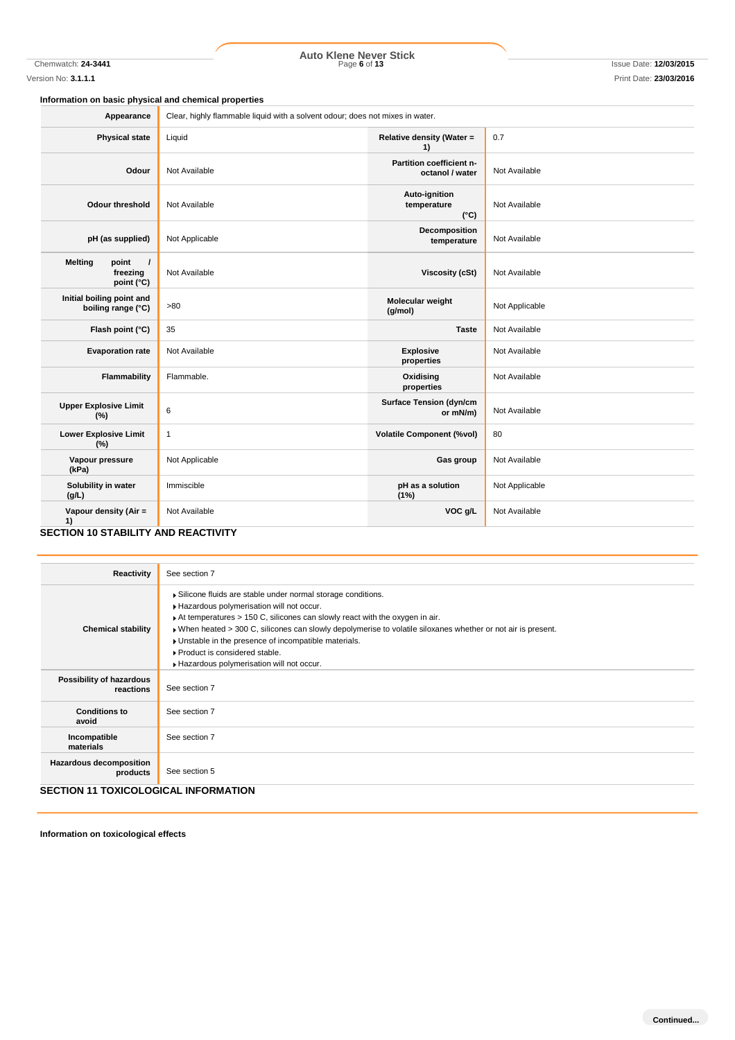Chemwatch: **24-3441** Page **6** of **13** Issue Date: **12/03/2015 Auto Klene Never Stick**

**Information on basic physical and chemical properties**

| Appearance                                                    | Clear, highly flammable liquid with a solvent odour; does not mixes in water. |                                               |                |
|---------------------------------------------------------------|-------------------------------------------------------------------------------|-----------------------------------------------|----------------|
| <b>Physical state</b>                                         | Liquid                                                                        | Relative density (Water =<br>1)               | 0.7            |
| Odour                                                         | Not Available                                                                 | Partition coefficient n-<br>octanol / water   | Not Available  |
| Odour threshold                                               | Not Available                                                                 | Auto-ignition<br>temperature<br>$(^{\circ}C)$ | Not Available  |
| pH (as supplied)                                              | Not Applicable                                                                | Decomposition<br>temperature                  | Not Available  |
| <b>Melting</b><br>point<br>$\prime$<br>freezing<br>point (°C) | Not Available                                                                 | <b>Viscosity (cSt)</b>                        | Not Available  |
| Initial boiling point and<br>boiling range (°C)               | >80                                                                           | Molecular weight<br>(g/mol)                   | Not Applicable |
| Flash point (°C)                                              | 35                                                                            | <b>Taste</b>                                  | Not Available  |
| <b>Evaporation rate</b>                                       | Not Available                                                                 | <b>Explosive</b><br>properties                | Not Available  |
| Flammability                                                  | Flammable.                                                                    | Oxidising<br>properties                       | Not Available  |
| <b>Upper Explosive Limit</b><br>(%)                           | 6                                                                             | <b>Surface Tension (dyn/cm</b><br>or mN/m)    | Not Available  |
| <b>Lower Explosive Limit</b><br>(%)                           | $\mathbf{1}$                                                                  | <b>Volatile Component (%vol)</b>              | 80             |
| Vapour pressure<br>(kPa)                                      | Not Applicable                                                                | Gas group                                     | Not Available  |
| Solubility in water<br>(g/L)                                  | Immiscible                                                                    | pH as a solution<br>(1%)                      | Not Applicable |
| Vapour density (Air =<br>1)                                   | Not Available                                                                 | VOC g/L                                       | Not Available  |
| <b>SECTION 10 STABILITY AND REACTIVITY</b>                    |                                                                               |                                               |                |

| Reactivity                                  | See section 7                                                                                                                                                                                                                                                                                                                                                                                                                                   |
|---------------------------------------------|-------------------------------------------------------------------------------------------------------------------------------------------------------------------------------------------------------------------------------------------------------------------------------------------------------------------------------------------------------------------------------------------------------------------------------------------------|
| <b>Chemical stability</b>                   | Silicone fluids are stable under normal storage conditions.<br>Hazardous polymerisation will not occur.<br>At temperatures > 150 C, silicones can slowly react with the oxygen in air.<br>▶ When heated > 300 C, silicones can slowly depolymerise to volatile siloxanes whether or not air is present.<br>• Unstable in the presence of incompatible materials.<br>▶ Product is considered stable.<br>Hazardous polymerisation will not occur. |
| Possibility of hazardous<br>reactions       | See section 7                                                                                                                                                                                                                                                                                                                                                                                                                                   |
| <b>Conditions to</b><br>avoid               | See section 7                                                                                                                                                                                                                                                                                                                                                                                                                                   |
| Incompatible<br>materials                   | See section 7                                                                                                                                                                                                                                                                                                                                                                                                                                   |
| <b>Hazardous decomposition</b><br>products  | See section 5                                                                                                                                                                                                                                                                                                                                                                                                                                   |
| <b>SECTION 11 TOXICOLOGICAL INFORMATION</b> |                                                                                                                                                                                                                                                                                                                                                                                                                                                 |

**Information on toxicological effects**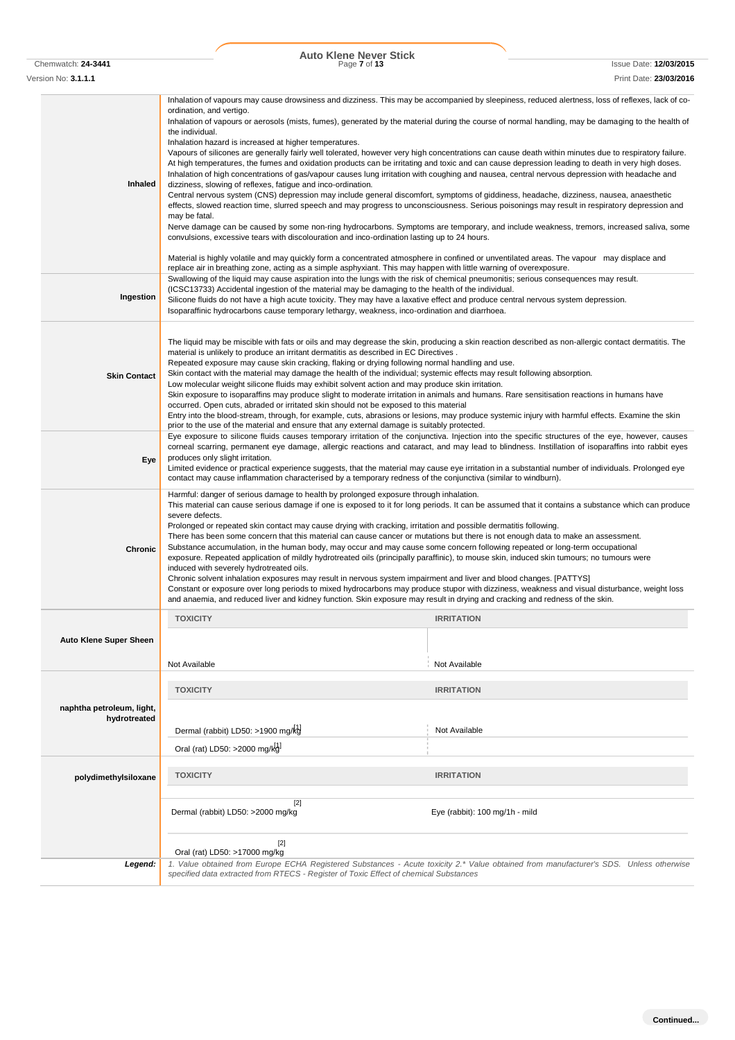Version No: **3.1.1.1** Print Date: **23/03/2016**

**Inhaled** Inhalation of vapours may cause drowsiness and dizziness. This may be accompanied by sleepiness, reduced alertness, loss of reflexes, lack of coordination, and vertigo. Inhalation of vapours or aerosols (mists, fumes), generated by the material during the course of normal handling, may be damaging to the health of the individual. Inhalation hazard is increased at higher temperatures. Vapours of silicones are generally fairly well tolerated, however very high concentrations can cause death within minutes due to respiratory failure. At high temperatures, the fumes and oxidation products can be irritating and toxic and can cause depression leading to death in very high doses. Inhalation of high concentrations of gas/vapour causes lung irritation with coughing and nausea, central nervous depression with headache and dizziness, slowing of reflexes, fatigue and inco-ordination. Central nervous system (CNS) depression may include general discomfort, symptoms of giddiness, headache, dizziness, nausea, anaesthetic effects, slowed reaction time, slurred speech and may progress to unconsciousness. Serious poisonings may result in respiratory depression and may be fatal. Nerve damage can be caused by some non-ring hydrocarbons. Symptoms are temporary, and include weakness, tremors, increased saliva, some convulsions, excessive tears with discolouration and inco-ordination lasting up to 24 hours. Material is highly volatile and may quickly form a concentrated atmosphere in confined or unventilated areas. The vapour may displace and replace air in breathing zone, acting as a simple asphyxiant. This may happen with little warning of overexposure. **Ingestion** Swallowing of the liquid may cause aspiration into the lungs with the risk of chemical pneumonitis; serious consequences may result. (ICSC13733) Accidental ingestion of the material may be damaging to the health of the individual. Silicone fluids do not have a high acute toxicity. They may have a laxative effect and produce central nervous system depression. Isoparaffinic hydrocarbons cause temporary lethargy, weakness, inco-ordination and diarrhoea. **Skin Contact** The liquid may be miscible with fats or oils and may degrease the skin, producing a skin reaction described as non-allergic contact dermatitis. The material is unlikely to produce an irritant dermatitis as described in EC Directives . Repeated exposure may cause skin cracking, flaking or drying following normal handling and use. Skin contact with the material may damage the health of the individual; systemic effects may result following absorption. Low molecular weight silicone fluids may exhibit solvent action and may produce skin irritation. Skin exposure to isoparaffins may produce slight to moderate irritation in animals and humans. Rare sensitisation reactions in humans have occurred. Open cuts, abraded or irritated skin should not be exposed to this material Entry into the blood-stream, through, for example, cuts, abrasions or lesions, may produce systemic injury with harmful effects. Examine the skin prior to the use of the material and ensure that any external damage is suitably protected. **Eye** Eye exposure to silicone fluids causes temporary irritation of the conjunctiva. Injection into the specific structures of the eye, however, causes corneal scarring, permanent eye damage, allergic reactions and cataract, and may lead to blindness. Instillation of isoparaffins into rabbit eyes produces only slight irritation. Limited evidence or practical experience suggests, that the material may cause eye irritation in a substantial number of individuals. Prolonged eye contact may cause inflammation characterised by a temporary redness of the conjunctiva (similar to windburn). **Chronic** Harmful: danger of serious damage to health by prolonged exposure through inhalation. This material can cause serious damage if one is exposed to it for long periods. It can be assumed that it contains a substance which can produce severe defects. Prolonged or repeated skin contact may cause drying with cracking, irritation and possible dermatitis following. There has been some concern that this material can cause cancer or mutations but there is not enough data to make an assessment. Substance accumulation, in the human body, may occur and may cause some concern following repeated or long-term occupational exposure. Repeated application of mildly hydrotreated oils (principally paraffinic), to mouse skin, induced skin tumours; no tumours were induced with severely hydrotreated oils. Chronic solvent inhalation exposures may result in nervous system impairment and liver and blood changes. [PATTYS] Constant or exposure over long periods to mixed hydrocarbons may produce stupor with dizziness, weakness and visual disturbance, weight loss and anaemia, and reduced liver and kidney function. Skin exposure may result in drying and cracking and redness of the skin. **Auto Klene Super Sheen TOXICITY IRRITATION** Not Available Not Available **naphtha petroleum, light, hydrotreated TOXICITY IRRITATION polydimethylsiloxane TOXICITY IRRITATION** [2] Dermal (rabbit) LD50: >2000 mg/kg Eye (rabbit): 100 mg/1h - mild [2] Oral (rat) LD50: >17000 mg/kg *Legend: 1. Value obtained from Europe ECHA Registered Substances - Acute toxicity 2.\* Value obtained from manufacturer's SDS. Unless otherwise specified data extracted from RTECS - Register of Toxic Effect of chemical Substances* Dermal (rabbit) LD50: >1900 mg/kg<sup>1</sup> Not Available Oral (rat) LD50: >2000 mg/kg]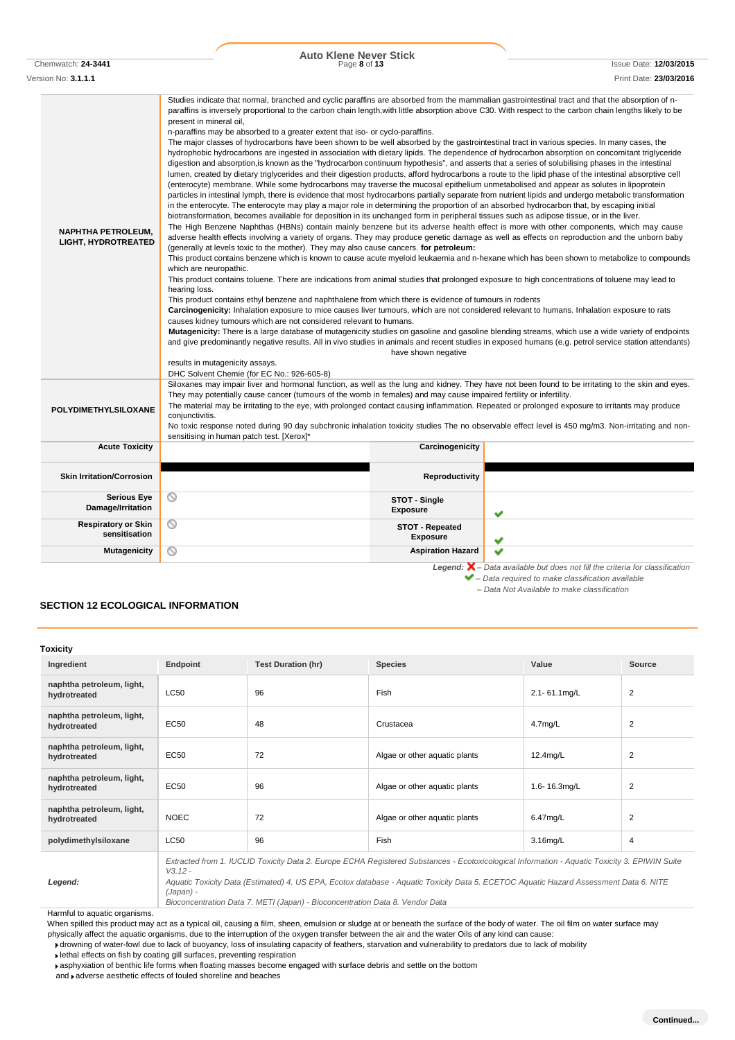| <b>Serious Eye</b><br>Damage/Irritation     | N                  |                           | STOT - Single<br><b>Exposure</b>   | ✔ |                                                                                                                       |                |
|---------------------------------------------|--------------------|---------------------------|------------------------------------|---|-----------------------------------------------------------------------------------------------------------------------|----------------|
| <b>Respiratory or Skin</b><br>sensitisation | ◎                  |                           | STOT - Repeated<br><b>Exposure</b> | ✔ |                                                                                                                       |                |
| <b>Mutagenicity</b>                         | $\scriptstyle\sim$ |                           | <b>Aspiration Hazard</b>           | v |                                                                                                                       |                |
| <b>ECTION 12 ECOLOGICAL INFORMATION</b>     |                    |                           |                                    |   | $\blacktriangleright$ - Data required to make classification available<br>- Data Not Available to make classification |                |
| oxicity<br>Ingredient                       | Endpoint           | <b>Test Duration (hr)</b> | <b>Species</b>                     |   | Value                                                                                                                 | Source         |
| naphtha petroleum, light,<br>hydrotreated   | <b>LC50</b>        | 96                        | Fish                               |   | 2.1-61.1mg/L                                                                                                          | $\overline{2}$ |
| naphtha petroleum, light,<br>hydrotreated   | <b>EC50</b>        | 48                        | Crustacea                          |   | $4.7$ mg/L                                                                                                            | $\overline{2}$ |
| naphtha petroleum, light,<br>hydrotreated   | <b>EC50</b>        | 72                        | Algae or other aquatic plants      |   | 12.4mg/L                                                                                                              | 2              |

# **SECTION 12 ECOLOGICAL INFORMAT**

**Toxicity**

|            | Endpoint    | <b>Test Duration (hr)</b> | <b>Species</b> |
|------------|-------------|---------------------------|----------------|
| um, light, | <b>LC50</b> | 96                        | Fish           |
| um, light, |             |                           |                |

# **naphtha petroleum, light, hydrotreated** EC50 **EC50** 72 Algae or other aquatic plants 12.4mg/L 2 **naphtha petroleum, light, hydrotreated** EC50 **hydrotreated** Algae or other aquatic plants 1.6- 16.3mg/L 2 **naphtha petroleum, light, hydrotreated** NOEC 72 Algae or other aquatic plants 6.47mg/L 2 **polydimethylsiloxane** LC50 96 Fish Fish 3.16mg/L 4 *Extracted from 1. IUCLID Toxicity Data 2. Europe ECHA Registered Substances - Ecotoxicological Information - Aquatic Toxicity 3. EPIWIN Suite*

*V3.12 - Aquatic Toxicity Data (Estimated) 4. US EPA, Ecotox database - Aquatic Toxicity Data 5. ECETOC Aquatic Hazard Assessment Data 6. NITE (Japan) -*

*Bioconcentration Data 7. METI (Japan) - Bioconcentration Data 8. Vendor Data*

Harmful to aquatic organisms.

*Legend:*

When spilled this product may act as a typical oil, causing a film, sheen, emulsion or sludge at or beneath the surface of the body of water. The oil film on water surface may physically affect the aquatic organisms, due to the interruption of the oxygen transfer between the air and the water Oils of any kind can cause:

drowning of water-fowl due to lack of buoyancy, loss of insulating capacity of feathers, starvation and vulnerability to predators due to lack of mobility

lethal effects on fish by coating gill surfaces, preventing respiration

asphyxiation of benthic life forms when floating masses become engaged with surface debris and settle on the bottom

and  $\blacktriangleright$  adverse aesthetic effects of fouled shoreline and beaches

**NAPHTHA PETROLEUM, LIGHT, HYDROTREATED**

**POLYDIMETHYLSILOXANE**

present in mineral oil,

which are neuropathic.

results in mutagenicity assays.

DHC Solvent Chemie (for EC No.: 926-605-8)

sensitising in human patch test. [Xerox]\*

hearing loss.

conjunctivitis.

# **Auto Klene Never Stick**

n-paraffins may be absorbed to a greater extent that iso- or cyclo-paraffins.

(generally at levels toxic to the mother). They may also cause cancers. **for petroleum:**

causes kidney tumours which are not considered relevant to humans.

**Acute Toxicity Carcinogenicity**

**Skin Irritation/Corrosion** 

This product contains ethyl benzene and naphthalene from which there is evidence of tumours in rodents

They may potentially cause cancer (tumours of the womb in females) and may cause impaired fertility or infertility.

Studies indicate that normal, branched and cyclic paraffins are absorbed from the mammalian gastrointestinal tract and that the absorption of nparaffins is inversely proportional to the carbon chain length,with little absorption above C30. With respect to the carbon chain lengths likely to be

The major classes of hydrocarbons have been shown to be well absorbed by the gastrointestinal tract in various species. In many cases, the hydrophobic hydrocarbons are ingested in association with dietary lipids. The dependence of hydrocarbon absorption on concomitant triglyceride digestion and absorption,is known as the "hydrocarbon continuum hypothesis", and asserts that a series of solubilising phases in the intestinal lumen, created by dietary triglycerides and their digestion products, afford hydrocarbons a route to the lipid phase of the intestinal absorptive cell (enterocyte) membrane. While some hydrocarbons may traverse the mucosal epithelium unmetabolised and appear as solutes in lipoprotein particles in intestinal lymph, there is evidence that most hydrocarbons partially separate from nutrient lipids and undergo metabolic transformation in the enterocyte. The enterocyte may play a major role in determining the proportion of an absorbed hydrocarbon that, by escaping initial biotransformation, becomes available for deposition in its unchanged form in peripheral tissues such as adipose tissue, or in the liver. The High Benzene Naphthas (HBNs) contain mainly benzene but its adverse health effect is more with other components, which may cause adverse health effects involving a variety of organs. They may produce genetic damage as well as effects on reproduction and the unborn baby

This product contains benzene which is known to cause acute myeloid leukaemia and n-hexane which has been shown to metabolize to compounds

**Mutagenicity:** There is a large database of mutagenicity studies on gasoline and gasoline blending streams, which use a wide variety of endpoints and give predominantly negative results. All in vivo studies in animals and recent studies in exposed humans (e.g. petrol service station attendants) have shown negative

Siloxanes may impair liver and hormonal function, as well as the lung and kidney. They have not been found to be irritating to the skin and eyes.

No toxic response noted during 90 day subchronic inhalation toxicity studies The no observable effect level is 450 mg/m3. Non-irritating and non-

The material may be irritating to the eye, with prolonged contact causing inflammation. Repeated or prolonged exposure to irritants may produce

This product contains toluene. There are indications from animal studies that prolonged exposure to high concentrations of toluene may lead to

**Carcinogenicity:** Inhalation exposure to mice causes liver tumours, which are not considered relevant to humans. Inhalation exposure to rats

Chemwatch: **24-3441** Page **8** of **13** Issue Date: **12/03/2015**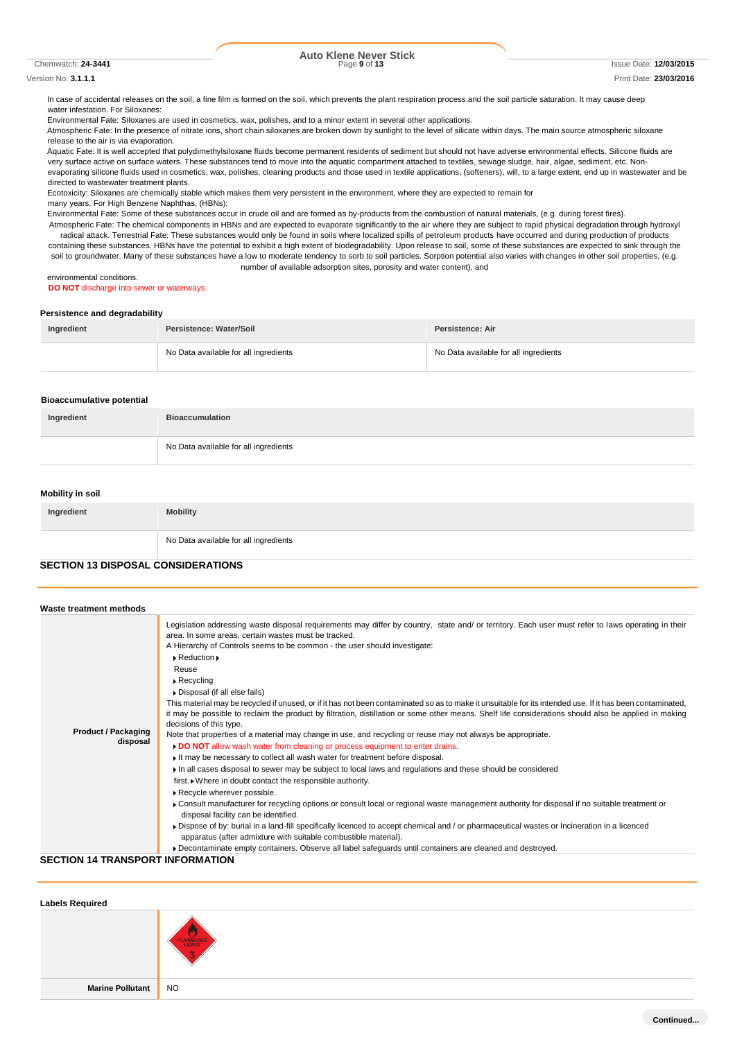Chemwatch: **24-3441** Page **9** of **13** Issue Date: **12/03/2015**

#### Version No: **3.1.1.1** Print Date: **23/03/2016**

In case of accidental releases on the soil, a fine film is formed on the soil, which prevents the plant respiration process and the soil particle saturation. It may cause deep water infestation. For Siloxanes:

Environmental Fate: Siloxanes are used in cosmetics, wax, polishes, and to a minor extent in several other applications.

Atmospheric Fate: In the presence of nitrate ions, short chain siloxanes are broken down by sunlight to the level of silicate within days. The main source atmospheric siloxane release to the air is via evaporation.

Aquatic Fate: It is well accepted that polydimethylsiloxane fluids become permanent residents of sediment but should not have adverse environmental effects. Silicone fluids are very surface active on surface waters. These substances tend to move into the aquatic compartment attached to textiles, sewage sludge, hair, algae, sediment, etc. Nonevaporating silicone fluids used in cosmetics, wax, polishes, cleaning products and those used in textile applications, (softeners), will, to a large extent, end up in wastewater and be directed to wastewater treatment plants.

Ecotoxicity: Siloxanes are chemically stable which makes them very persistent in the environment, where they are expected to remain for many years. For High Benzene Naphthas, (HBNs):

Environmental Fate: Some of these substances occur in crude oil and are formed as by-products from the combustion of natural materials, (e.g. during forest fires).

Atmospheric Fate: The chemical components in HBNs and are expected to evaporate significantly to the air where they are subject to rapid physical degradation through hydroxyl radical attack. Terrestrial Fate: These substances would only be found in soils where localized spills of petroleum products have occurred and during production of products containing these substances. HBNs have the potential to exhibit a high extent of biodegradability. Upon release to soil, some of these substances are expected to sink through the soil to groundwater. Many of these substances have a low to moderate tendency to sorb to soil particles. Sorption potential also varies with changes in other soil properties, (e.g. number of available adsorption sites, porosity and water content), and

# environmental conditions.

**DO NOT** discharge into sewer or waterways.

### **Persistence and degradability**

| Ingredient | Persistence: Water/Soil               | Persistence: Air                      |
|------------|---------------------------------------|---------------------------------------|
|            | No Data available for all ingredients | No Data available for all ingredients |

### **Bioaccumulative potential**

| Ingredient | <b>Bioaccumulation</b>                |
|------------|---------------------------------------|
|            | No Data available for all ingredients |

### **Mobility in soil**

| Ingredient | <b>Mobility</b>                       |
|------------|---------------------------------------|
|            | No Data available for all ingredients |

## **SECTION 13 DISPOSAL CONSIDERATIONS**

| Waste treatment methods                 |                                                                                                                                                                                                                                                                                                                                                                                                                                                                                                                                                                                                                                                                                                                                                                                                                                                                                                                                                                                                                                                                                                                                                                                                                                                                                                                                                                                                                                                                                                                                                                                                                                                                   |
|-----------------------------------------|-------------------------------------------------------------------------------------------------------------------------------------------------------------------------------------------------------------------------------------------------------------------------------------------------------------------------------------------------------------------------------------------------------------------------------------------------------------------------------------------------------------------------------------------------------------------------------------------------------------------------------------------------------------------------------------------------------------------------------------------------------------------------------------------------------------------------------------------------------------------------------------------------------------------------------------------------------------------------------------------------------------------------------------------------------------------------------------------------------------------------------------------------------------------------------------------------------------------------------------------------------------------------------------------------------------------------------------------------------------------------------------------------------------------------------------------------------------------------------------------------------------------------------------------------------------------------------------------------------------------------------------------------------------------|
| <b>Product / Packaging</b><br>disposal  | Legislation addressing waste disposal requirements may differ by country, state and/ or territory. Each user must refer to laws operating in their<br>area. In some areas, certain wastes must be tracked.<br>A Hierarchy of Controls seems to be common - the user should investigate:<br>$\triangleright$ Reduction $\triangleright$<br>Reuse<br>$\triangleright$ Recycling<br>Disposal (if all else fails)<br>This material may be recycled if unused, or if it has not been contaminated so as to make it unsuitable for its intended use. If it has been contaminated,<br>it may be possible to reclaim the product by filtration, distillation or some other means. Shelf life considerations should also be applied in making<br>decisions of this type.<br>Note that properties of a material may change in use, and recycling or reuse may not always be appropriate.<br>DO NOT allow wash water from cleaning or process equipment to enter drains.<br>It may be necessary to collect all wash water for treatment before disposal.<br>In all cases disposal to sewer may be subject to local laws and regulations and these should be considered<br>first. • Where in doubt contact the responsible authority.<br>Recycle wherever possible.<br>• Consult manufacturer for recycling options or consult local or regional waste management authority for disposal if no suitable treatment or<br>disposal facility can be identified.<br>Dispose of by: burial in a land-fill specifically licenced to accept chemical and / or pharmaceutical wastes or Incineration in a licenced<br>apparatus (after admixture with suitable combustible material). |
| <b>SECTION 14 TRANSPORT INFORMATION</b> | Decontaminate empty containers. Observe all label safeguards until containers are cleaned and destroyed.                                                                                                                                                                                                                                                                                                                                                                                                                                                                                                                                                                                                                                                                                                                                                                                                                                                                                                                                                                                                                                                                                                                                                                                                                                                                                                                                                                                                                                                                                                                                                          |

#### **SECTION 14 TRANSPORT INFORMATION**

| <b>Labels Required</b> |           |
|------------------------|-----------|
|                        | FLAMMABLE |
| Marine Pollutant NO    |           |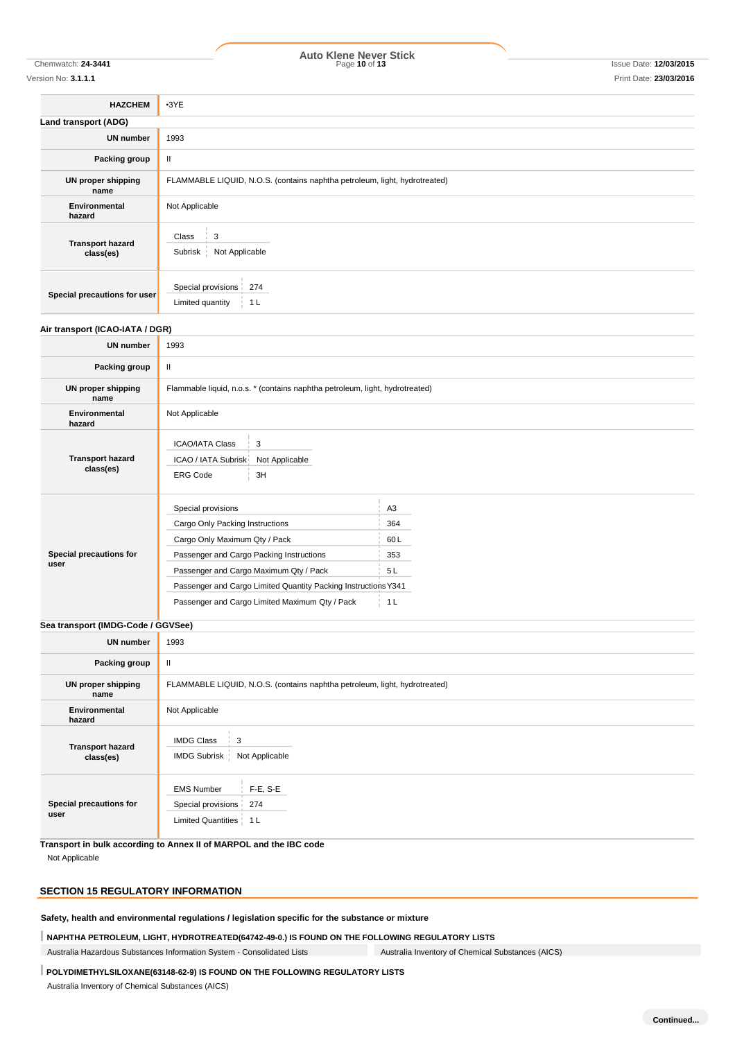# Chemwatch: **24-3441** Page **10** of **13** Issue Date: **12/03/2015 Auto Klene Never Stick**

Version No: **3.1.1.1** Print Date: **23/03/2016**

| <b>HAZCHEM</b>                       | $\cdot$ 3YE                                                                |
|--------------------------------------|----------------------------------------------------------------------------|
| Land transport (ADG)                 |                                                                            |
| <b>UN number</b>                     | 1993                                                                       |
| Packing group                        | Ш                                                                          |
| <b>UN proper shipping</b><br>name    | FLAMMABLE LIQUID, N.O.S. (contains naphtha petroleum, light, hydrotreated) |
| Environmental<br>hazard              | Not Applicable                                                             |
| <b>Transport hazard</b><br>class(es) | $\frac{1}{2}$ 3<br>Class<br>Not Applicable<br>Subrisk                      |
| Special precautions for user         | Special provisions 274<br>1 <sub>L</sub><br>Limited quantity               |

### **Air transport (ICAO-IATA / DGR)**

| <b>UN number</b><br>1993<br>$\mathbf{I}$<br>Packing group<br>Flammable liquid, n.o.s. * (contains naphtha petroleum, light, hydrotreated)<br>UN proper shipping<br>name<br>Not Applicable<br>Environmental<br>hazard<br><b>ICAO/IATA Class</b><br>3<br><b>Transport hazard</b><br>ICAO / IATA Subrisk<br>Not Applicable<br>class(es)<br><b>ERG Code</b><br>3H<br>Special provisions<br>A <sub>3</sub><br>Cargo Only Packing Instructions<br>364<br>Cargo Only Maximum Qty / Pack<br>60L<br>Special precautions for<br>Passenger and Cargo Packing Instructions<br>353<br>user<br>Passenger and Cargo Maximum Qty / Pack<br>5L<br>Passenger and Cargo Limited Quantity Packing Instructions Y341<br>Passenger and Cargo Limited Maximum Qty / Pack<br>1 <sub>L</sub> |  |  |  |
|---------------------------------------------------------------------------------------------------------------------------------------------------------------------------------------------------------------------------------------------------------------------------------------------------------------------------------------------------------------------------------------------------------------------------------------------------------------------------------------------------------------------------------------------------------------------------------------------------------------------------------------------------------------------------------------------------------------------------------------------------------------------|--|--|--|
|                                                                                                                                                                                                                                                                                                                                                                                                                                                                                                                                                                                                                                                                                                                                                                     |  |  |  |
|                                                                                                                                                                                                                                                                                                                                                                                                                                                                                                                                                                                                                                                                                                                                                                     |  |  |  |
|                                                                                                                                                                                                                                                                                                                                                                                                                                                                                                                                                                                                                                                                                                                                                                     |  |  |  |
|                                                                                                                                                                                                                                                                                                                                                                                                                                                                                                                                                                                                                                                                                                                                                                     |  |  |  |
|                                                                                                                                                                                                                                                                                                                                                                                                                                                                                                                                                                                                                                                                                                                                                                     |  |  |  |
|                                                                                                                                                                                                                                                                                                                                                                                                                                                                                                                                                                                                                                                                                                                                                                     |  |  |  |
|                                                                                                                                                                                                                                                                                                                                                                                                                                                                                                                                                                                                                                                                                                                                                                     |  |  |  |
|                                                                                                                                                                                                                                                                                                                                                                                                                                                                                                                                                                                                                                                                                                                                                                     |  |  |  |
|                                                                                                                                                                                                                                                                                                                                                                                                                                                                                                                                                                                                                                                                                                                                                                     |  |  |  |
|                                                                                                                                                                                                                                                                                                                                                                                                                                                                                                                                                                                                                                                                                                                                                                     |  |  |  |
|                                                                                                                                                                                                                                                                                                                                                                                                                                                                                                                                                                                                                                                                                                                                                                     |  |  |  |
|                                                                                                                                                                                                                                                                                                                                                                                                                                                                                                                                                                                                                                                                                                                                                                     |  |  |  |

# **Sea transport (IMDG-Code / GGVSee) UN number** 1993

| <b>UN number</b>                     | 1993                                                                                  |  |  |
|--------------------------------------|---------------------------------------------------------------------------------------|--|--|
| Packing group                        | Ш                                                                                     |  |  |
| <b>UN proper shipping</b><br>name    | FLAMMABLE LIQUID, N.O.S. (contains naphtha petroleum, light, hydrotreated)            |  |  |
| Environmental<br>hazard              | Not Applicable                                                                        |  |  |
| <b>Transport hazard</b><br>class(es) | <b>IMDG Class</b><br>3<br>IMDG Subrisk<br>Not Applicable                              |  |  |
| Special precautions for<br>user      | $F-E, S-E$<br><b>EMS Number</b><br>Special provisions 274<br>Limited Quantities   1 L |  |  |

**Transport in bulk according to Annex II of MARPOL and the IBC code** Not Applicable

# **SECTION 15 REGULATORY INFORMATION**

**Safety, health and environmental regulations / legislation specific for the substance or mixture**

**NAPHTHA PETROLEUM, LIGHT, HYDROTREATED(64742-49-0.) IS FOUND ON THE FOLLOWING REGULATORY LISTS**

Australia Hazardous Substances Information System - Consolidated Lists Australia Inventory of Chemical Substances (AICS)

# **POLYDIMETHYLSILOXANE(63148-62-9) IS FOUND ON THE FOLLOWING REGULATORY LISTS**

Australia Inventory of Chemical Substances (AICS)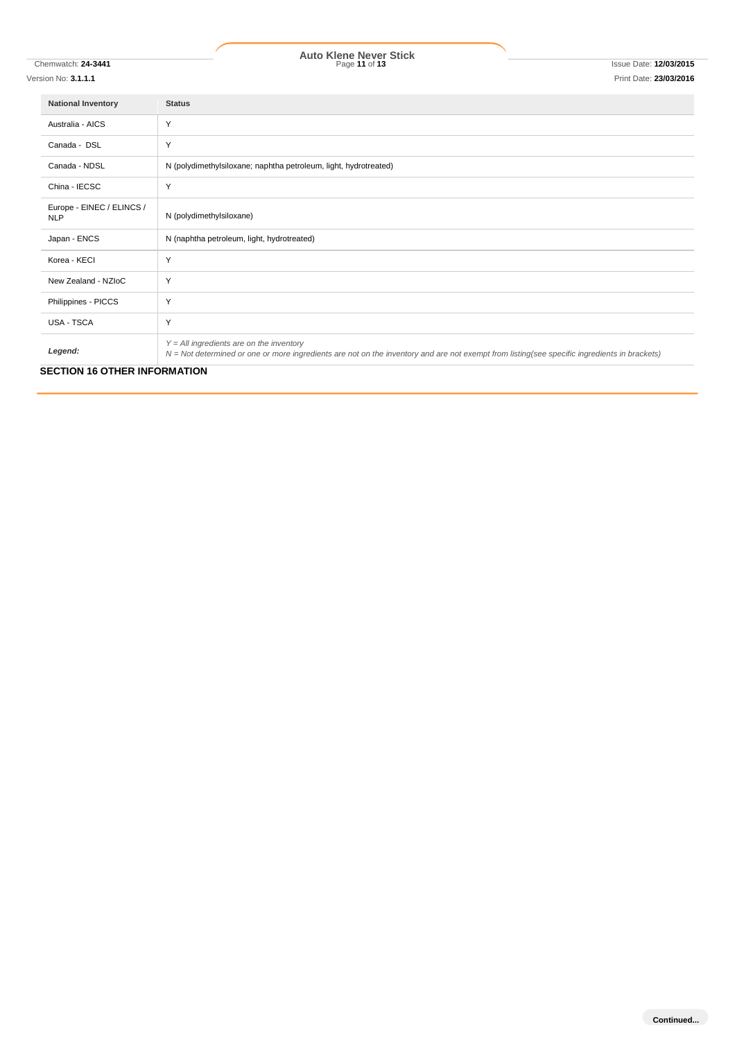Version No: **3.1.1.1** Print Date: **23/03/2016**

| <b>National Inventory</b>               | <b>Status</b>                                                                                                                                                                                |
|-----------------------------------------|----------------------------------------------------------------------------------------------------------------------------------------------------------------------------------------------|
| Australia - AICS                        | Y                                                                                                                                                                                            |
| Canada - DSL                            | Y                                                                                                                                                                                            |
| Canada - NDSL                           | N (polydimethylsiloxane; naphtha petroleum, light, hydrotreated)                                                                                                                             |
| China - IECSC                           | Y                                                                                                                                                                                            |
| Europe - EINEC / ELINCS /<br><b>NLP</b> | N (polydimethylsiloxane)                                                                                                                                                                     |
| Japan - ENCS                            | N (naphtha petroleum, light, hydrotreated)                                                                                                                                                   |
| Korea - KECI                            | Y                                                                                                                                                                                            |
| New Zealand - NZIoC                     | Y                                                                                                                                                                                            |
| Philippines - PICCS                     | Y                                                                                                                                                                                            |
| USA - TSCA                              | Y                                                                                                                                                                                            |
| Legend:                                 | $Y = All$ ingredients are on the inventory<br>$N = Not$ determined or one or more ingredients are not on the inventory and are not exempt from listing(see specific ingredients in brackets) |
| <b>SECTION 16 OTHER INFORMATION</b>     |                                                                                                                                                                                              |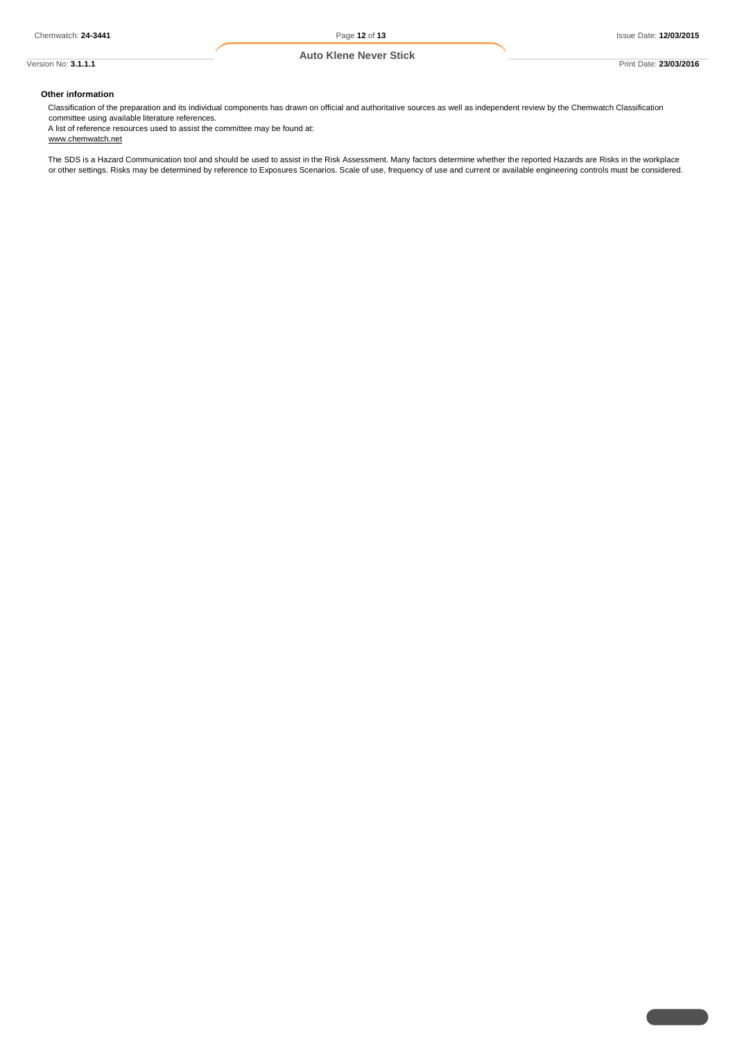# **Other information**

Classification of the preparation and its individual components has drawn on official and authoritative sources as well as independent review by the Chemwatch Classification committee using available literature references.

A list of reference resources used to assist the committee may be found at: www.chemwatch.net

The SDS is a Hazard Communication tool and should be used to assist in the Risk Assessment. Many factors determine whether the reported Hazards are Risks in the workplace or other settings. Risks may be determined by reference to Exposures Scenarios. Scale of use, frequency of use and current or available engineering controls must be considered.